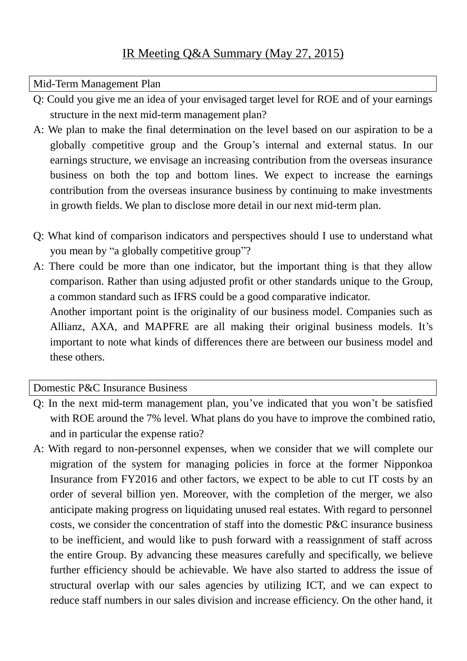## Mid-Term Management Plan

- Q: Could you give me an idea of your envisaged target level for ROE and of your earnings structure in the next mid-term management plan?
- A: We plan to make the final determination on the level based on our aspiration to be a globally competitive group and the Group's internal and external status. In our earnings structure, we envisage an increasing contribution from the overseas insurance business on both the top and bottom lines. We expect to increase the earnings contribution from the overseas insurance business by continuing to make investments in growth fields. We plan to disclose more detail in our next mid-term plan.
- Q: What kind of comparison indicators and perspectives should I use to understand what you mean by "a globally competitive group"?
- A: There could be more than one indicator, but the important thing is that they allow comparison. Rather than using adjusted profit or other standards unique to the Group, a common standard such as IFRS could be a good comparative indicator.

Another important point is the originality of our business model. Companies such as Allianz, AXA, and MAPFRE are all making their original business models. It's important to note what kinds of differences there are between our business model and these others.

## Domestic P&C Insurance Business

- Q: In the next mid-term management plan, you've indicated that you won't be satisfied with ROE around the 7% level. What plans do you have to improve the combined ratio, and in particular the expense ratio?
- A: With regard to non-personnel expenses, when we consider that we will complete our migration of the system for managing policies in force at the former Nipponkoa Insurance from FY2016 and other factors, we expect to be able to cut IT costs by an order of several billion yen. Moreover, with the completion of the merger, we also anticipate making progress on liquidating unused real estates. With regard to personnel costs, we consider the concentration of staff into the domestic P&C insurance business to be inefficient, and would like to push forward with a reassignment of staff across the entire Group. By advancing these measures carefully and specifically, we believe further efficiency should be achievable. We have also started to address the issue of structural overlap with our sales agencies by utilizing ICT, and we can expect to reduce staff numbers in our sales division and increase efficiency. On the other hand, it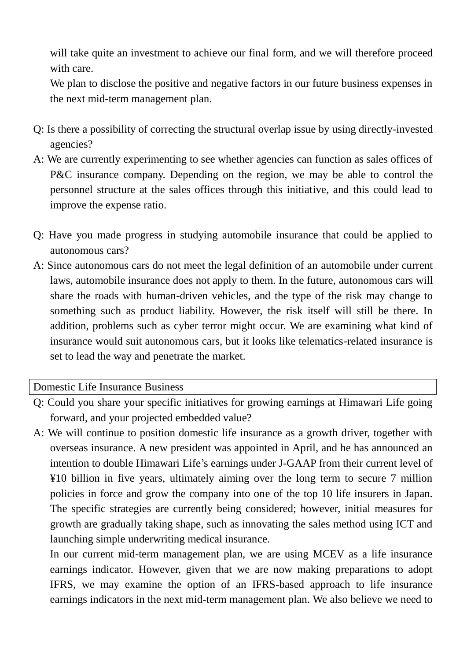will take quite an investment to achieve our final form, and we will therefore proceed with care.

We plan to disclose the positive and negative factors in our future business expenses in the next mid-term management plan.

- Q: Is there a possibility of correcting the structural overlap issue by using directly-invested agencies?
- A: We are currently experimenting to see whether agencies can function as sales offices of P&C insurance company. Depending on the region, we may be able to control the personnel structure at the sales offices through this initiative, and this could lead to improve the expense ratio.
- Q: Have you made progress in studying automobile insurance that could be applied to autonomous cars?
- A: Since autonomous cars do not meet the legal definition of an automobile under current laws, automobile insurance does not apply to them. In the future, autonomous cars will share the roads with human-driven vehicles, and the type of the risk may change to something such as product liability. However, the risk itself will still be there. In addition, problems such as cyber terror might occur. We are examining what kind of insurance would suit autonomous cars, but it looks like telematics-related insurance is set to lead the way and penetrate the market.

Domestic Life Insurance Business

- Q: Could you share your specific initiatives for growing earnings at Himawari Life going forward, and your projected embedded value?
- A: We will continue to position domestic life insurance as a growth driver, together with overseas insurance. A new president was appointed in April, and he has announced an intention to double Himawari Life's earnings under J-GAAP from their current level of ¥10 billion in five years, ultimately aiming over the long term to secure 7 million policies in force and grow the company into one of the top 10 life insurers in Japan. The specific strategies are currently being considered; however, initial measures for growth are gradually taking shape, such as innovating the sales method using ICT and launching simple underwriting medical insurance.

In our current mid-term management plan, we are using MCEV as a life insurance earnings indicator. However, given that we are now making preparations to adopt IFRS, we may examine the option of an IFRS-based approach to life insurance earnings indicators in the next mid-term management plan. We also believe we need to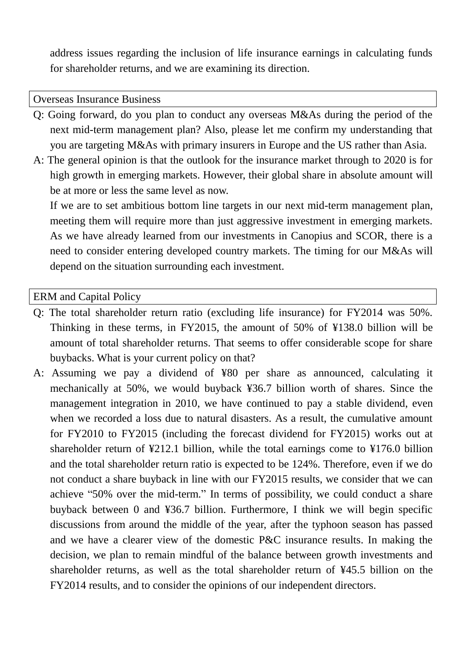address issues regarding the inclusion of life insurance earnings in calculating funds for shareholder returns, and we are examining its direction.

Overseas Insurance Business

- Q: Going forward, do you plan to conduct any overseas M&As during the period of the next mid-term management plan? Also, please let me confirm my understanding that you are targeting M&As with primary insurers in Europe and the US rather than Asia.
- A: The general opinion is that the outlook for the insurance market through to 2020 is for high growth in emerging markets. However, their global share in absolute amount will be at more or less the same level as now.

If we are to set ambitious bottom line targets in our next mid-term management plan, meeting them will require more than just aggressive investment in emerging markets. As we have already learned from our investments in Canopius and SCOR, there is a need to consider entering developed country markets. The timing for our M&As will depend on the situation surrounding each investment.

ERM and Capital Policy

- Q: The total shareholder return ratio (excluding life insurance) for FY2014 was 50%. Thinking in these terms, in FY2015, the amount of 50% of ¥138.0 billion will be amount of total shareholder returns. That seems to offer considerable scope for share buybacks. What is your current policy on that?
- A: Assuming we pay a dividend of ¥80 per share as announced, calculating it mechanically at 50%, we would buyback ¥36.7 billion worth of shares. Since the management integration in 2010, we have continued to pay a stable dividend, even when we recorded a loss due to natural disasters. As a result, the cumulative amount for FY2010 to FY2015 (including the forecast dividend for FY2015) works out at shareholder return of ¥212.1 billion, while the total earnings come to ¥176.0 billion and the total shareholder return ratio is expected to be 124%. Therefore, even if we do not conduct a share buyback in line with our FY2015 results, we consider that we can achieve "50% over the mid-term." In terms of possibility, we could conduct a share buyback between 0 and ¥36.7 billion. Furthermore, I think we will begin specific discussions from around the middle of the year, after the typhoon season has passed and we have a clearer view of the domestic P&C insurance results. In making the decision, we plan to remain mindful of the balance between growth investments and shareholder returns, as well as the total shareholder return of ¥45.5 billion on the FY2014 results, and to consider the opinions of our independent directors.